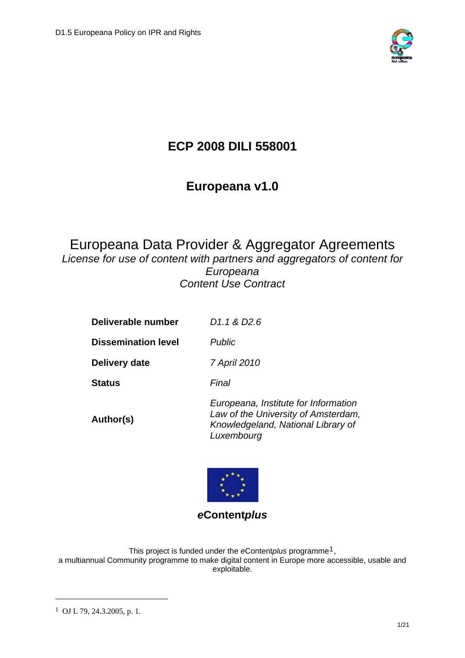

# **ECP 2008 DILI 558001**

# **Europeana v1.0**

# Europeana Data Provider & Aggregator Agreements

*License for use of content with partners and aggregators of content for Europeana Content Use Contract* 

| Deliverable number         | D1.1 & D2.6                                                                                                                     |
|----------------------------|---------------------------------------------------------------------------------------------------------------------------------|
| <b>Dissemination level</b> | <b>Public</b>                                                                                                                   |
| Delivery date              | 7 April 2010                                                                                                                    |
| <b>Status</b>              | Final                                                                                                                           |
| Author(s)                  | Europeana, Institute for Information<br>Law of the University of Amsterdam,<br>Knowledgeland, National Library of<br>Luxembourg |



*e***Content***plus* 

This project is funded under the *e*Content*plus* programme[1](#page-0-0), a multiannual Community programme to make digital content in Europe more accessible, usable and exploitable.

1

<span id="page-0-0"></span><sup>1</sup> OJ L 79, 24.3.2005, p. 1.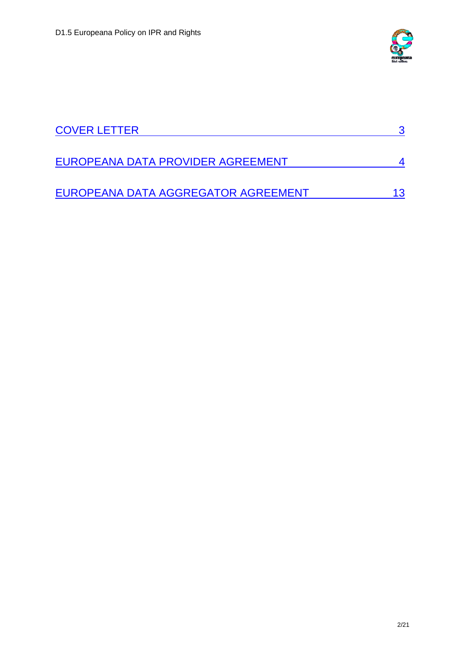

<span id="page-1-0"></span>

| <b>COVER LETTER</b>                 |  |
|-------------------------------------|--|
| EUROPEANA DATA PROVIDER AGREEMENT   |  |
| EUROPEANA DATA AGGREGATOR AGREEMENT |  |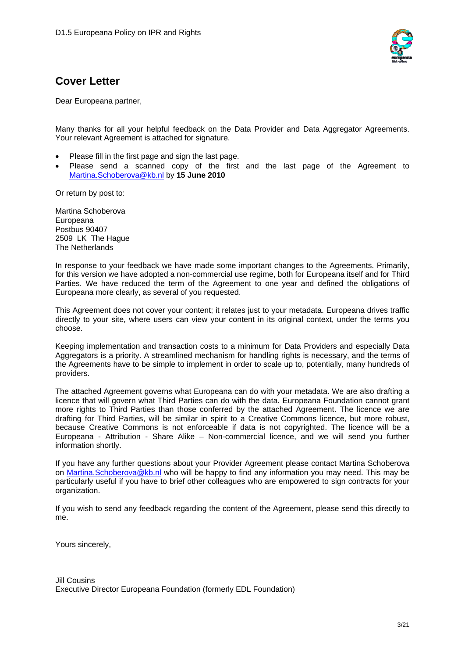

# **Cover Letter**

Dear Europeana partner,

Many thanks for all your helpful feedback on the Data Provider and Data Aggregator Agreements. Your relevant Agreement is attached for signature.

- Please fill in the first page and sign the last page.
- Please send a scanned copy of the first and the last page of the Agreement to [Martina.Schoberova@kb.nl](mailto:Martina.Schoberova@kb.nl) by **15 June 2010**

Or return by post to:

Martina Schoberova Europeana Postbus 90407 2509 LK The Hague The Netherlands

In response to your feedback we have made some important changes to the Agreements. Primarily, for this version we have adopted a non-commercial use regime, both for Europeana itself and for Third Parties. We have reduced the term of the Agreement to one year and defined the obligations of Europeana more clearly, as several of you requested.

This Agreement does not cover your content; it relates just to your metadata. Europeana drives traffic directly to your site, where users can view your content in its original context, under the terms you choose.

Keeping implementation and transaction costs to a minimum for Data Providers and especially Data Aggregators is a priority. A streamlined mechanism for handling rights is necessary, and the terms of the Agreements have to be simple to implement in order to scale up to, potentially, many hundreds of providers.

The attached Agreement governs what Europeana can do with your metadata. We are also drafting a licence that will govern what Third Parties can do with the data. Europeana Foundation cannot grant more rights to Third Parties than those conferred by the attached Agreement. The licence we are drafting for Third Parties, will be similar in spirit to a Creative Commons licence, but more robust, because Creative Commons is not enforceable if data is not copyrighted. The licence will be a Europeana - Attribution - Share Alike – Non-commercial licence, and we will send you further information shortly.

If you have any further questions about your Provider Agreement please contact Martina Schoberova on [Martina.Schoberova@kb.nl](mailto:Martina.Schoberova@kb.nl) who will be happy to find any information you may need. This may be particularly useful if you have to brief other colleagues who are empowered to sign contracts for your organization.

If you wish to send any feedback regarding the content of the Agreement, please send this directly to me.

Yours sincerely,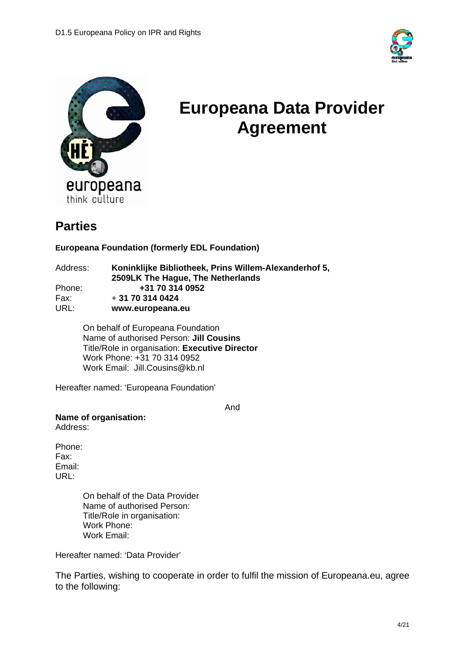

<span id="page-3-0"></span>

# **Europeana Data Provider Agreement**

# **Parties**

### **Europeana Foundation (formerly EDL Foundation)**

| Address: | Koninklijke Bibliotheek, Prins Willem-Alexanderhof 5, |
|----------|-------------------------------------------------------|
|          | 2509LK The Hague, The Netherlands                     |
| Phone:   | +31 70 314 0952                                       |
| Fax:     | $+31703140424$                                        |
| URL:     | www.europeana.eu                                      |

On behalf of Europeana Foundation Name of authorised Person: **Jill Cousins**  Title/Role in organisation: **Executive Director**  Work Phone: +31 70 314 0952 Work Email: Jill.Cousins@kb.nl

Hereafter named: 'Europeana Foundation'

And

**Name of organisation:** 

Address:

Phone: Fax: Email: URL:

> On behalf of the Data Provider Name of authorised Person: Title/Role in organisation: Work Phone: Work Email:

Hereafter named: 'Data Provider'

The Parties, wishing to cooperate in order to fulfil the mission of Europeana.eu, agree to the following: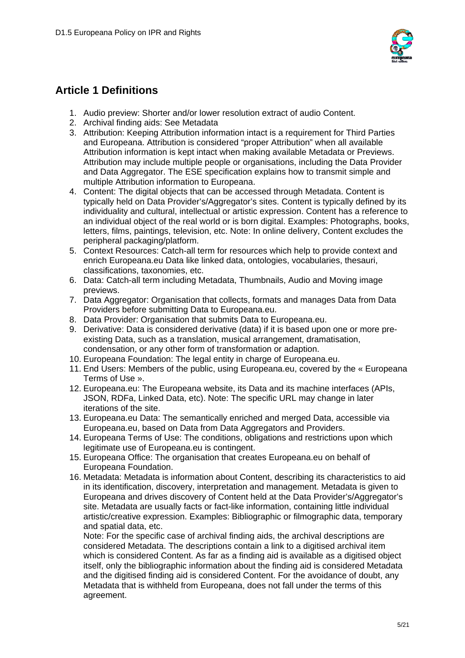

# **Article 1 Definitions**

- 1. Audio preview: Shorter and/or lower resolution extract of audio Content.
- 2. Archival finding aids: See Metadata
- 3. Attribution: Keeping Attribution information intact is a requirement for Third Parties and Europeana. Attribution is considered "proper Attribution" when all available Attribution information is kept intact when making available Metadata or Previews. Attribution may include multiple people or organisations, including the Data Provider and Data Aggregator. The ESE specification explains how to transmit simple and multiple Attribution information to Europeana.
- 4. Content: The digital objects that can be accessed through Metadata. Content is typically held on Data Provider's/Aggregator's sites. Content is typically defined by its individuality and cultural, intellectual or artistic expression. Content has a reference to an individual object of the real world or is born digital. Examples: Photographs, books, letters, films, paintings, television, etc. Note: In online delivery, Content excludes the peripheral packaging/platform.
- 5. Context Resources: Catch-all term for resources which help to provide context and enrich Europeana.eu Data like linked data, ontologies, vocabularies, thesauri, classifications, taxonomies, etc.
- 6. Data: Catch-all term including Metadata, Thumbnails, Audio and Moving image previews.
- 7. Data Aggregator: Organisation that collects, formats and manages Data from Data Providers before submitting Data to Europeana.eu.
- 8. Data Provider: Organisation that submits Data to Europeana.eu.
- 9. Derivative: Data is considered derivative (data) if it is based upon one or more preexisting Data, such as a translation, musical arrangement, dramatisation, condensation, or any other form of transformation or adaption.
- 10. Europeana Foundation: The legal entity in charge of Europeana.eu.
- 11. End Users: Members of the public, using Europeana.eu, covered by the « Europeana Terms of Use ».
- 12. Europeana.eu: The Europeana website, its Data and its machine interfaces (APIs, JSON, RDFa, Linked Data, etc). Note: The specific URL may change in later iterations of the site.
- 13. Europeana.eu Data: The semantically enriched and merged Data, accessible via Europeana.eu, based on Data from Data Aggregators and Providers.
- 14. Europeana Terms of Use: The conditions, obligations and restrictions upon which legitimate use of Europeana.eu is contingent.
- 15. Europeana Office: The organisation that creates Europeana.eu on behalf of Europeana Foundation.
- 16. Metadata: Metadata is information about Content, describing its characteristics to aid in its identification, discovery, interpretation and management. Metadata is given to Europeana and drives discovery of Content held at the Data Provider's/Aggregator's site. Metadata are usually facts or fact-like information, containing little individual artistic/creative expression. Examples: Bibliographic or filmographic data, temporary and spatial data, etc.

Note: For the specific case of archival finding aids, the archival descriptions are considered Metadata. The descriptions contain a link to a digitised archival item which is considered Content. As far as a finding aid is available as a digitised object itself, only the bibliographic information about the finding aid is considered Metadata and the digitised finding aid is considered Content. For the avoidance of doubt, any Metadata that is withheld from Europeana, does not fall under the terms of this agreement.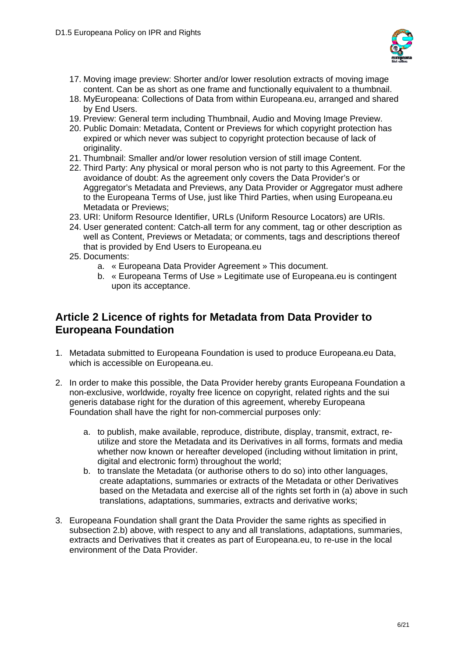

- 17. Moving image preview: Shorter and/or lower resolution extracts of moving image content. Can be as short as one frame and functionally equivalent to a thumbnail.
- 18. MyEuropeana: Collections of Data from within Europeana.eu, arranged and shared by End Users.
- 19. Preview: General term including Thumbnail, Audio and Moving Image Preview.
- 20. Public Domain: Metadata, Content or Previews for which copyright protection has expired or which never was subject to copyright protection because of lack of originality.
- 21. Thumbnail: Smaller and/or lower resolution version of still image Content.
- 22. Third Party: Any physical or moral person who is not party to this Agreement. For the avoidance of doubt: As the agreement only covers the Data Provider's or Aggregator's Metadata and Previews, any Data Provider or Aggregator must adhere to the Europeana Terms of Use, just like Third Parties, when using Europeana.eu Metadata or Previews;
- 23. URI: Uniform Resource Identifier, URLs (Uniform Resource Locators) are URIs.
- 24. User generated content: Catch-all term for any comment, tag or other description as well as Content, Previews or Metadata; or comments, tags and descriptions thereof that is provided by End Users to Europeana.eu
- 25. Documents:
	- a. « Europeana Data Provider Agreement » This document.
	- b. « Europeana Terms of Use » Legitimate use of Europeana.eu is contingent upon its acceptance.

## **Article 2 Licence of rights for Metadata from Data Provider to Europeana Foundation**

- 1. Metadata submitted to Europeana Foundation is used to produce Europeana.eu Data, which is accessible on Europeana.eu.
- 2. In order to make this possible, the Data Provider hereby grants Europeana Foundation a non-exclusive, worldwide, royalty free licence on copyright, related rights and the sui generis database right for the duration of this agreement, whereby Europeana Foundation shall have the right for non-commercial purposes only:
	- a. to publish, make available, reproduce, distribute, display, transmit, extract, reutilize and store the Metadata and its Derivatives in all forms, formats and media whether now known or hereafter developed (including without limitation in print, digital and electronic form) throughout the world;
	- b. to translate the Metadata (or authorise others to do so) into other languages, create adaptations, summaries or extracts of the Metadata or other Derivatives based on the Metadata and exercise all of the rights set forth in (a) above in such translations, adaptations, summaries, extracts and derivative works;
- 3. Europeana Foundation shall grant the Data Provider the same rights as specified in subsection 2.b) above, with respect to any and all translations, adaptations, summaries, extracts and Derivatives that it creates as part of Europeana.eu, to re-use in the local environment of the Data Provider.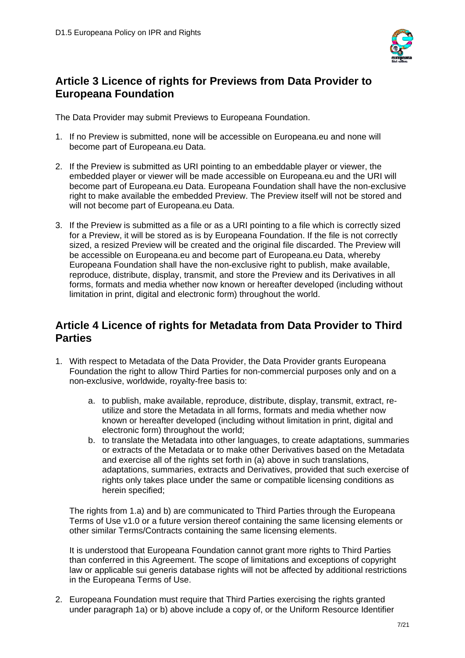

# **Article 3 Licence of rights for Previews from Data Provider to Europeana Foundation**

The Data Provider may submit Previews to Europeana Foundation.

- 1. If no Preview is submitted, none will be accessible on Europeana.eu and none will become part of Europeana.eu Data.
- 2. If the Preview is submitted as URI pointing to an embeddable player or viewer, the embedded player or viewer will be made accessible on Europeana.eu and the URI will become part of Europeana.eu Data. Europeana Foundation shall have the non-exclusive right to make available the embedded Preview. The Preview itself will not be stored and will not become part of Europeana.eu Data.
- 3. If the Preview is submitted as a file or as a URI pointing to a file which is correctly sized for a Preview, it will be stored as is by Europeana Foundation. If the file is not correctly sized, a resized Preview will be created and the original file discarded. The Preview will be accessible on Europeana.eu and become part of Europeana.eu Data, whereby Europeana Foundation shall have the non-exclusive right to publish, make available, reproduce, distribute, display, transmit, and store the Preview and its Derivatives in all forms, formats and media whether now known or hereafter developed (including without limitation in print, digital and electronic form) throughout the world.

# **Article 4 Licence of rights for Metadata from Data Provider to Third Parties**

- 1. With respect to Metadata of the Data Provider, the Data Provider grants Europeana Foundation the right to allow Third Parties for non-commercial purposes only and on a non-exclusive, worldwide, royalty-free basis to:
	- a. to publish, make available, reproduce, distribute, display, transmit, extract, reutilize and store the Metadata in all forms, formats and media whether now known or hereafter developed (including without limitation in print, digital and electronic form) throughout the world;
	- b. to translate the Metadata into other languages, to create adaptations, summaries or extracts of the Metadata or to make other Derivatives based on the Metadata and exercise all of the rights set forth in (a) above in such translations, adaptations, summaries, extracts and Derivatives, provided that such exercise of rights only takes place under the same or compatible licensing conditions as herein specified;

The rights from 1.a) and b) are communicated to Third Parties through the Europeana Terms of Use v1.0 or a future version thereof containing the same licensing elements or other similar Terms/Contracts containing the same licensing elements.

It is understood that Europeana Foundation cannot grant more rights to Third Parties than conferred in this Agreement. The scope of limitations and exceptions of copyright law or applicable sui generis database rights will not be affected by additional restrictions in the Europeana Terms of Use.

2. Europeana Foundation must require that Third Parties exercising the rights granted under paragraph 1a) or b) above include a copy of, or the Uniform Resource Identifier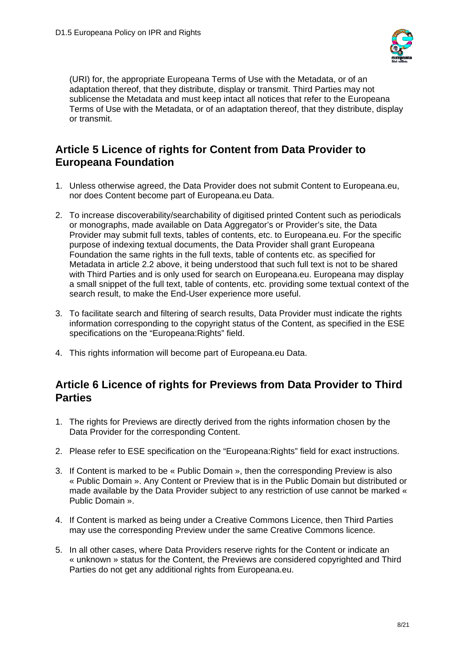

(URI) for, the appropriate Europeana Terms of Use with the Metadata, or of an adaptation thereof, that they distribute, display or transmit. Third Parties may not sublicense the Metadata and must keep intact all notices that refer to the Europeana Terms of Use with the Metadata, or of an adaptation thereof, that they distribute, display or transmit.

# **Article 5 Licence of rights for Content from Data Provider to Europeana Foundation**

- 1. Unless otherwise agreed, the Data Provider does not submit Content to Europeana.eu, nor does Content become part of Europeana.eu Data.
- 2. To increase discoverability/searchability of digitised printed Content such as periodicals or monographs, made available on Data Aggregator's or Provider's site, the Data Provider may submit full texts, tables of contents, etc. to Europeana.eu. For the specific purpose of indexing textual documents, the Data Provider shall grant Europeana Foundation the same rights in the full texts, table of contents etc. as specified for Metadata in article 2.2 above, it being understood that such full text is not to be shared with Third Parties and is only used for search on Europeana.eu. Europeana may display a small snippet of the full text, table of contents, etc. providing some textual context of the search result, to make the End-User experience more useful.
- 3. To facilitate search and filtering of search results, Data Provider must indicate the rights information corresponding to the copyright status of the Content, as specified in the ESE specifications on the "Europeana:Rights" field.
- 4. This rights information will become part of Europeana.eu Data.

### **Article 6 Licence of rights for Previews from Data Provider to Third Parties**

- 1. The rights for Previews are directly derived from the rights information chosen by the Data Provider for the corresponding Content.
- 2. Please refer to ESE specification on the "Europeana:Rights" field for exact instructions.
- 3. If Content is marked to be « Public Domain », then the corresponding Preview is also « Public Domain ». Any Content or Preview that is in the Public Domain but distributed or made available by the Data Provider subject to any restriction of use cannot be marked « Public Domain ».
- 4. If Content is marked as being under a Creative Commons Licence, then Third Parties may use the corresponding Preview under the same Creative Commons licence.
- 5. In all other cases, where Data Providers reserve rights for the Content or indicate an « unknown » status for the Content, the Previews are considered copyrighted and Third Parties do not get any additional rights from Europeana.eu.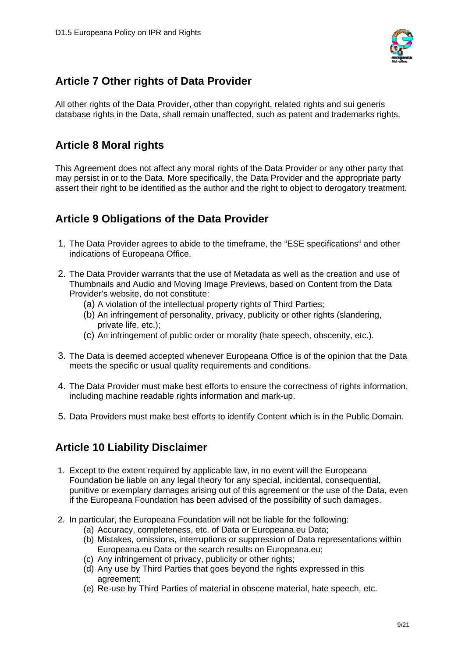

# **Article 7 Other rights of Data Provider**

All other rights of the Data Provider, other than copyright, related rights and sui generis database rights in the Data, shall remain unaffected, such as patent and trademarks rights.

# **Article 8 Moral rights**

This Agreement does not affect any moral rights of the Data Provider or any other party that may persist in or to the Data. More specifically, the Data Provider and the appropriate party assert their right to be identified as the author and the right to object to derogatory treatment.

# **Article 9 Obligations of the Data Provider**

- 1. The Data Provider agrees to abide to the timeframe, the "ESE specifications" and other indications of Europeana Office.
- 2. The Data Provider warrants that the use of Metadata as well as the creation and use of Thumbnails and Audio and Moving Image Previews, based on Content from the Data Provider's website, do not constitute:
	- (a) A violation of the intellectual property rights of Third Parties;
	- (b) An infringement of personality, privacy, publicity or other rights (slandering, private life, etc.);
	- (c) An infringement of public order or morality (hate speech, obscenity, etc.).
- 3. The Data is deemed accepted whenever Europeana Office is of the opinion that the Data meets the specific or usual quality requirements and conditions.
- 4. The Data Provider must make best efforts to ensure the correctness of rights information, including machine readable rights information and mark-up.
- 5. Data Providers must make best efforts to identify Content which is in the Public Domain.

# **Article 10 Liability Disclaimer**

- 1. Except to the extent required by applicable law, in no event will the Europeana Foundation be liable on any legal theory for any special, incidental, consequential, punitive or exemplary damages arising out of this agreement or the use of the Data, even if the Europeana Foundation has been advised of the possibility of such damages.
- 2. In particular, the Europeana Foundation will not be liable for the following:
	- (a) Accuracy, completeness, etc. of Data or Europeana.eu Data;
	- (b) Mistakes, omissions, interruptions or suppression of Data representations within Europeana.eu Data or the search results on Europeana.eu;
	- (c) Any infringement of privacy, publicity or other rights;
	- (d) Any use by Third Parties that goes beyond the rights expressed in this agreement;
	- (e) Re-use by Third Parties of material in obscene material, hate speech, etc.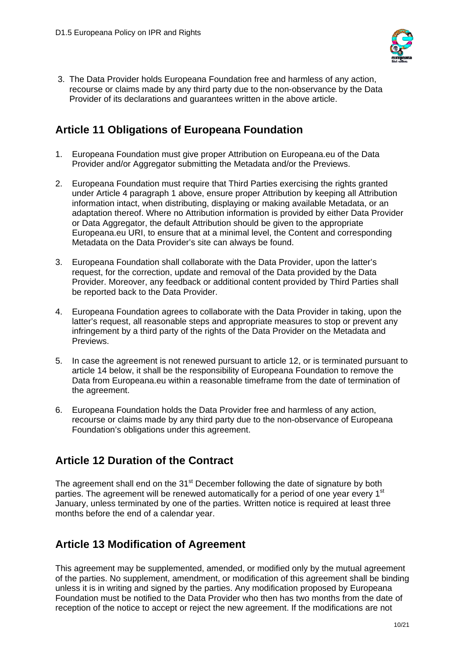

 3. The Data Provider holds Europeana Foundation free and harmless of any action, recourse or claims made by any third party due to the non-observance by the Data Provider of its declarations and guarantees written in the above article.

# **Article 11 Obligations of Europeana Foundation**

- 1. Europeana Foundation must give proper Attribution on Europeana.eu of the Data Provider and/or Aggregator submitting the Metadata and/or the Previews.
- 2. Europeana Foundation must require that Third Parties exercising the rights granted under Article 4 paragraph 1 above, ensure proper Attribution by keeping all Attribution information intact, when distributing, displaying or making available Metadata, or an adaptation thereof. Where no Attribution information is provided by either Data Provider or Data Aggregator, the default Attribution should be given to the appropriate Europeana.eu URI, to ensure that at a minimal level, the Content and corresponding Metadata on the Data Provider's site can always be found.
- 3. Europeana Foundation shall collaborate with the Data Provider, upon the latter's request, for the correction, update and removal of the Data provided by the Data Provider. Moreover, any feedback or additional content provided by Third Parties shall be reported back to the Data Provider.
- 4. Europeana Foundation agrees to collaborate with the Data Provider in taking, upon the latter's request, all reasonable steps and appropriate measures to stop or prevent any infringement by a third party of the rights of the Data Provider on the Metadata and Previews.
- 5. In case the agreement is not renewed pursuant to article 12, or is terminated pursuant to article 14 below, it shall be the responsibility of Europeana Foundation to remove the Data from Europeana.eu within a reasonable timeframe from the date of termination of the agreement.
- 6. Europeana Foundation holds the Data Provider free and harmless of any action, recourse or claims made by any third party due to the non-observance of Europeana Foundation's obligations under this agreement.

# **Article 12 Duration of the Contract**

The agreement shall end on the 31<sup>st</sup> December following the date of signature by both parties. The agreement will be renewed automatically for a period of one year every 1<sup>st</sup> January, unless terminated by one of the parties. Written notice is required at least three months before the end of a calendar year.

# **Article 13 Modification of Agreement**

This agreement may be supplemented, amended, or modified only by the mutual agreement of the parties. No supplement, amendment, or modification of this agreement shall be binding unless it is in writing and signed by the parties. Any modification proposed by Europeana Foundation must be notified to the Data Provider who then has two months from the date of reception of the notice to accept or reject the new agreement. If the modifications are not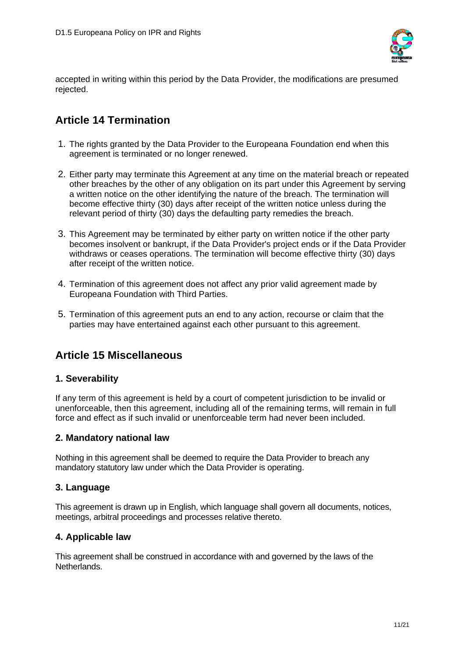

accepted in writing within this period by the Data Provider, the modifications are presumed rejected.

# **Article 14 Termination**

- 1. The rights granted by the Data Provider to the Europeana Foundation end when this agreement is terminated or no longer renewed.
- 2. Either party may terminate this Agreement at any time on the material breach or repeated other breaches by the other of any obligation on its part under this Agreement by serving a written notice on the other identifying the nature of the breach. The termination will become effective thirty (30) days after receipt of the written notice unless during the relevant period of thirty (30) days the defaulting party remedies the breach.
- 3. This Agreement may be terminated by either party on written notice if the other party becomes insolvent or bankrupt, if the Data Provider's project ends or if the Data Provider withdraws or ceases operations. The termination will become effective thirty (30) days after receipt of the written notice.
- 4. Termination of this agreement does not affect any prior valid agreement made by Europeana Foundation with Third Parties.
- 5. Termination of this agreement puts an end to any action, recourse or claim that the parties may have entertained against each other pursuant to this agreement.

# **Article 15 Miscellaneous**

### **1. Severability**

If any term of this agreement is held by a court of competent jurisdiction to be invalid or unenforceable, then this agreement, including all of the remaining terms, will remain in full force and effect as if such invalid or unenforceable term had never been included.

### **2. Mandatory national law**

Nothing in this agreement shall be deemed to require the Data Provider to breach any mandatory statutory law under which the Data Provider is operating.

### **3. Language**

This agreement is drawn up in English, which language shall govern all documents, notices, meetings, arbitral proceedings and processes relative thereto.

### **4. Applicable law**

This agreement shall be construed in accordance with and governed by the laws of the Netherlands.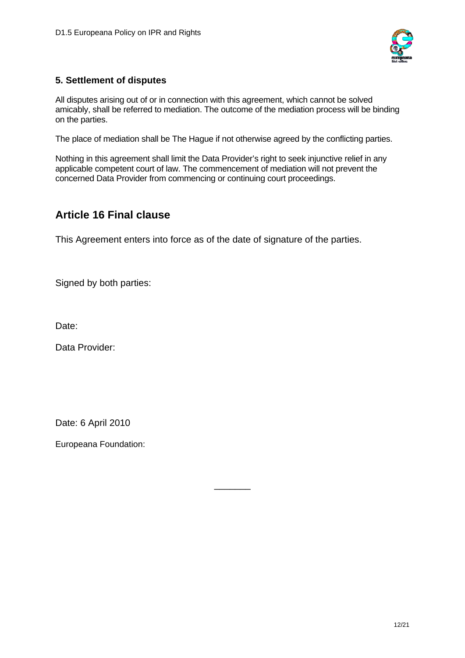

### **5. Settlement of disputes**

All disputes arising out of or in connection with this agreement, which cannot be solved amicably, shall be referred to mediation. The outcome of the mediation process will be binding on the parties.

The place of mediation shall be The Hague if not otherwise agreed by the conflicting parties.

Nothing in this agreement shall limit the Data Provider's right to seek injunctive relief in any applicable competent court of law. The commencement of mediation will not prevent the concerned Data Provider from commencing or continuing court proceedings.

### **Article 16 Final clause**

This Agreement enters into force as of the date of signature of the parties.

\_\_\_\_\_\_\_

Signed by both parties:

Date:

Data Provider:

Date: 6 April 2010

<span id="page-11-0"></span>Europeana Foundation: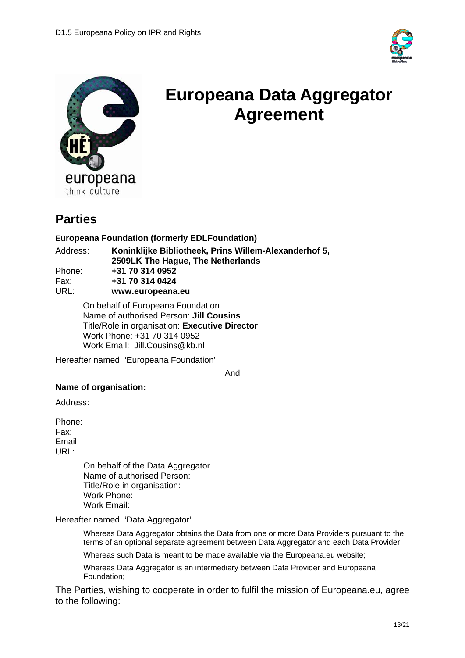



# **Europeana Data Aggregator Agreement**

# **Parties**

#### **Europeana Foundation (formerly EDLFoundation)**

| Address: | Koninklijke Bibliotheek, Prins Willem-Alexanderhof 5, |
|----------|-------------------------------------------------------|
|          | 2509LK The Hague, The Netherlands                     |
| Phone:   | +31 70 314 0952                                       |
| Fax:     | +31 70 314 0424                                       |
| URL:     | www.europeana.eu                                      |

On behalf of Europeana Foundation Name of authorised Person: **Jill Cousins**  Title/Role in organisation: **Executive Director**  Work Phone: +31 70 314 0952 Work Email: Jill.Cousins@kb.nl

Hereafter named: 'Europeana Foundation'

And

#### **Name of organisation:**

Address:

Phone: Fax: Email: URL:

> On behalf of the Data Aggregator Name of authorised Person: Title/Role in organisation: Work Phone: Work Email:

Hereafter named: 'Data Aggregator'

Whereas Data Aggregator obtains the Data from one or more Data Providers pursuant to the terms of an optional separate agreement between Data Aggregator and each Data Provider;

Whereas such Data is meant to be made available via the Europeana.eu website;

Whereas Data Aggregator is an intermediary between Data Provider and Europeana Foundation;

The Parties, wishing to cooperate in order to fulfil the mission of Europeana.eu, agree to the following: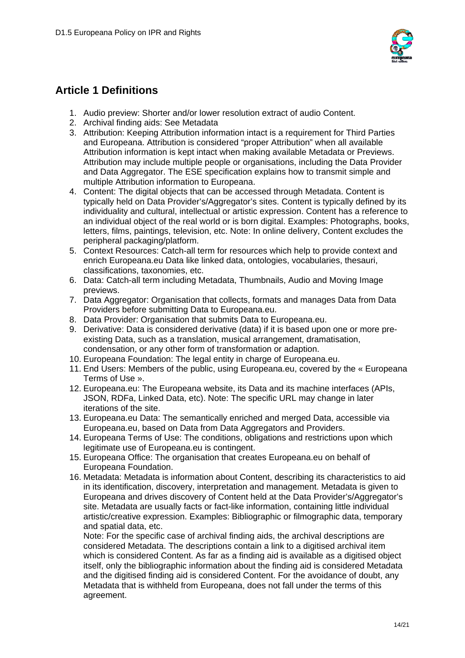

# **Article 1 Definitions**

- 1. Audio preview: Shorter and/or lower resolution extract of audio Content.
- 2. Archival finding aids: See Metadata
- 3. Attribution: Keeping Attribution information intact is a requirement for Third Parties and Europeana. Attribution is considered "proper Attribution" when all available Attribution information is kept intact when making available Metadata or Previews. Attribution may include multiple people or organisations, including the Data Provider and Data Aggregator. The ESE specification explains how to transmit simple and multiple Attribution information to Europeana.
- 4. Content: The digital objects that can be accessed through Metadata. Content is typically held on Data Provider's/Aggregator's sites. Content is typically defined by its individuality and cultural, intellectual or artistic expression. Content has a reference to an individual object of the real world or is born digital. Examples: Photographs, books, letters, films, paintings, television, etc. Note: In online delivery, Content excludes the peripheral packaging/platform.
- 5. Context Resources: Catch-all term for resources which help to provide context and enrich Europeana.eu Data like linked data, ontologies, vocabularies, thesauri, classifications, taxonomies, etc.
- 6. Data: Catch-all term including Metadata, Thumbnails, Audio and Moving Image previews.
- 7. Data Aggregator: Organisation that collects, formats and manages Data from Data Providers before submitting Data to Europeana.eu.
- 8. Data Provider: Organisation that submits Data to Europeana.eu.
- 9. Derivative: Data is considered derivative (data) if it is based upon one or more preexisting Data, such as a translation, musical arrangement, dramatisation, condensation, or any other form of transformation or adaption.
- 10. Europeana Foundation: The legal entity in charge of Europeana.eu.
- 11. End Users: Members of the public, using Europeana.eu, covered by the « Europeana Terms of Use ».
- 12. Europeana.eu: The Europeana website, its Data and its machine interfaces (APIs, JSON, RDFa, Linked Data, etc). Note: The specific URL may change in later iterations of the site.
- 13. Europeana.eu Data: The semantically enriched and merged Data, accessible via Europeana.eu, based on Data from Data Aggregators and Providers.
- 14. Europeana Terms of Use: The conditions, obligations and restrictions upon which legitimate use of Europeana.eu is contingent.
- 15. Europeana Office: The organisation that creates Europeana.eu on behalf of Europeana Foundation.
- 16. Metadata: Metadata is information about Content, describing its characteristics to aid in its identification, discovery, interpretation and management. Metadata is given to Europeana and drives discovery of Content held at the Data Provider's/Aggregator's site. Metadata are usually facts or fact-like information, containing little individual artistic/creative expression. Examples: Bibliographic or filmographic data, temporary and spatial data, etc.

Note: For the specific case of archival finding aids, the archival descriptions are considered Metadata. The descriptions contain a link to a digitised archival item which is considered Content. As far as a finding aid is available as a digitised object itself, only the bibliographic information about the finding aid is considered Metadata and the digitised finding aid is considered Content. For the avoidance of doubt, any Metadata that is withheld from Europeana, does not fall under the terms of this agreement.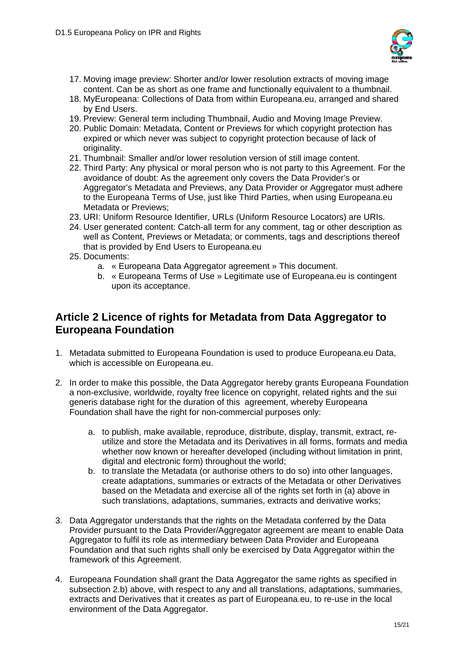

- 17. Moving image preview: Shorter and/or lower resolution extracts of moving image content. Can be as short as one frame and functionally equivalent to a thumbnail.
- 18. MyEuropeana: Collections of Data from within Europeana.eu, arranged and shared by End Users.
- 19. Preview: General term including Thumbnail, Audio and Moving Image Preview.
- 20. Public Domain: Metadata, Content or Previews for which copyright protection has expired or which never was subject to copyright protection because of lack of originality.
- 21. Thumbnail: Smaller and/or lower resolution version of still image content.
- 22. Third Party: Any physical or moral person who is not party to this Agreement. For the avoidance of doubt: As the agreement only covers the Data Provider's or Aggregator's Metadata and Previews, any Data Provider or Aggregator must adhere to the Europeana Terms of Use, just like Third Parties, when using Europeana.eu Metadata or Previews;
- 23. URI: Uniform Resource Identifier, URLs (Uniform Resource Locators) are URIs.
- 24. User generated content: Catch-all term for any comment, tag or other description as well as Content, Previews or Metadata; or comments, tags and descriptions thereof that is provided by End Users to Europeana.eu
- 25. Documents:
	- a. « Europeana Data Aggregator agreement » This document.
	- b. « Europeana Terms of Use » Legitimate use of Europeana.eu is contingent upon its acceptance.

## **Article 2 Licence of rights for Metadata from Data Aggregator to Europeana Foundation**

- 1. Metadata submitted to Europeana Foundation is used to produce Europeana.eu Data, which is accessible on Europeana.eu.
- 2. In order to make this possible, the Data Aggregator hereby grants Europeana Foundation a non-exclusive, worldwide, royalty free licence on copyright, related rights and the sui generis database right for the duration of this agreement, whereby Europeana Foundation shall have the right for non-commercial purposes only:
	- a. to publish, make available, reproduce, distribute, display, transmit, extract, reutilize and store the Metadata and its Derivatives in all forms, formats and media whether now known or hereafter developed (including without limitation in print, digital and electronic form) throughout the world;
	- b. to translate the Metadata (or authorise others to do so) into other languages, create adaptations, summaries or extracts of the Metadata or other Derivatives based on the Metadata and exercise all of the rights set forth in (a) above in such translations, adaptations, summaries, extracts and derivative works;
- 3. Data Aggregator understands that the rights on the Metadata conferred by the Data Provider pursuant to the Data Provider/Aggregator agreement are meant to enable Data Aggregator to fulfil its role as intermediary between Data Provider and Europeana Foundation and that such rights shall only be exercised by Data Aggregator within the framework of this Agreement.
- 4. Europeana Foundation shall grant the Data Aggregator the same rights as specified in subsection 2.b) above, with respect to any and all translations, adaptations, summaries, extracts and Derivatives that it creates as part of Europeana.eu, to re-use in the local environment of the Data Aggregator.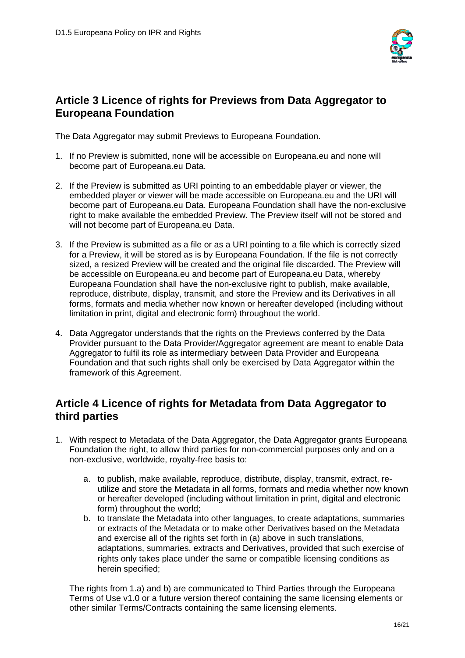

## **Article 3 Licence of rights for Previews from Data Aggregator to Europeana Foundation**

The Data Aggregator may submit Previews to Europeana Foundation.

- 1. If no Preview is submitted, none will be accessible on Europeana.eu and none will become part of Europeana.eu Data.
- 2. If the Preview is submitted as URI pointing to an embeddable player or viewer, the embedded player or viewer will be made accessible on Europeana.eu and the URI will become part of Europeana.eu Data. Europeana Foundation shall have the non-exclusive right to make available the embedded Preview. The Preview itself will not be stored and will not become part of Europeana.eu Data.
- 3. If the Preview is submitted as a file or as a URI pointing to a file which is correctly sized for a Preview, it will be stored as is by Europeana Foundation. If the file is not correctly sized, a resized Preview will be created and the original file discarded. The Preview will be accessible on Europeana.eu and become part of Europeana.eu Data, whereby Europeana Foundation shall have the non-exclusive right to publish, make available, reproduce, distribute, display, transmit, and store the Preview and its Derivatives in all forms, formats and media whether now known or hereafter developed (including without limitation in print, digital and electronic form) throughout the world.
- 4. Data Aggregator understands that the rights on the Previews conferred by the Data Provider pursuant to the Data Provider/Aggregator agreement are meant to enable Data Aggregator to fulfil its role as intermediary between Data Provider and Europeana Foundation and that such rights shall only be exercised by Data Aggregator within the framework of this Agreement.

### **Article 4 Licence of rights for Metadata from Data Aggregator to third parties**

- 1. With respect to Metadata of the Data Aggregator, the Data Aggregator grants Europeana Foundation the right, to allow third parties for non-commercial purposes only and on a non-exclusive, worldwide, royalty-free basis to:
	- a. to publish, make available, reproduce, distribute, display, transmit, extract, reutilize and store the Metadata in all forms, formats and media whether now known or hereafter developed (including without limitation in print, digital and electronic form) throughout the world;
	- b. to translate the Metadata into other languages, to create adaptations, summaries or extracts of the Metadata or to make other Derivatives based on the Metadata and exercise all of the rights set forth in (a) above in such translations, adaptations, summaries, extracts and Derivatives, provided that such exercise of rights only takes place under the same or compatible licensing conditions as herein specified;

The rights from 1.a) and b) are communicated to Third Parties through the Europeana Terms of Use v1.0 or a future version thereof containing the same licensing elements or other similar Terms/Contracts containing the same licensing elements.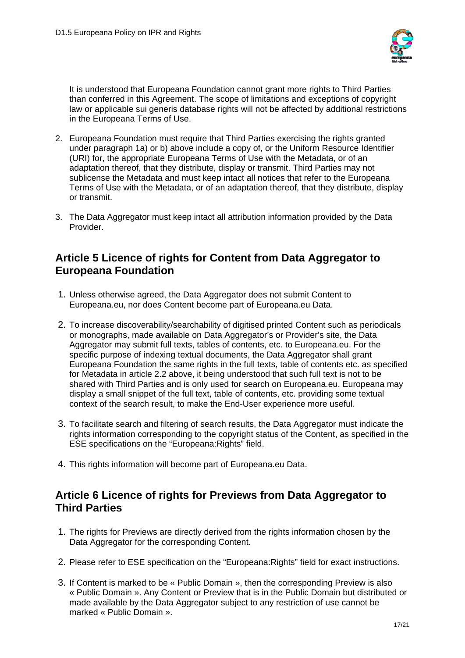

It is understood that Europeana Foundation cannot grant more rights to Third Parties than conferred in this Agreement. The scope of limitations and exceptions of copyright law or applicable sui generis database rights will not be affected by additional restrictions in the Europeana Terms of Use.

- 2. Europeana Foundation must require that Third Parties exercising the rights granted under paragraph 1a) or b) above include a copy of, or the Uniform Resource Identifier (URI) for, the appropriate Europeana Terms of Use with the Metadata, or of an adaptation thereof, that they distribute, display or transmit. Third Parties may not sublicense the Metadata and must keep intact all notices that refer to the Europeana Terms of Use with the Metadata, or of an adaptation thereof, that they distribute, display or transmit.
- 3. The Data Aggregator must keep intact all attribution information provided by the Data Provider.

### **Article 5 Licence of rights for Content from Data Aggregator to Europeana Foundation**

- 1. Unless otherwise agreed, the Data Aggregator does not submit Content to Europeana.eu, nor does Content become part of Europeana.eu Data.
- 2. To increase discoverability/searchability of digitised printed Content such as periodicals or monographs, made available on Data Aggregator's or Provider's site, the Data Aggregator may submit full texts, tables of contents, etc. to Europeana.eu. For the specific purpose of indexing textual documents, the Data Aggregator shall grant Europeana Foundation the same rights in the full texts, table of contents etc. as specified for Metadata in article 2.2 above, it being understood that such full text is not to be shared with Third Parties and is only used for search on Europeana.eu. Europeana may display a small snippet of the full text, table of contents, etc. providing some textual context of the search result, to make the End-User experience more useful.
- 3. To facilitate search and filtering of search results, the Data Aggregator must indicate the rights information corresponding to the copyright status of the Content, as specified in the ESE specifications on the "Europeana:Rights" field.
- 4. This rights information will become part of Europeana.eu Data.

### **Article 6 Licence of rights for Previews from Data Aggregator to Third Parties**

- 1. The rights for Previews are directly derived from the rights information chosen by the Data Aggregator for the corresponding Content.
- 2. Please refer to ESE specification on the "Europeana:Rights" field for exact instructions.
- 3. If Content is marked to be « Public Domain », then the corresponding Preview is also « Public Domain ». Any Content or Preview that is in the Public Domain but distributed or made available by the Data Aggregator subject to any restriction of use cannot be marked « Public Domain ».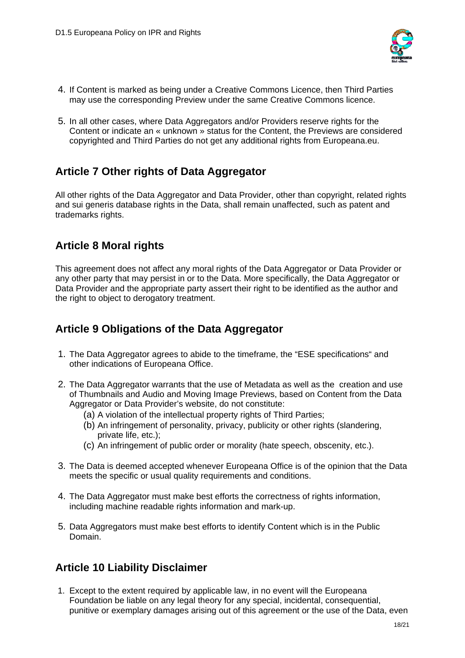

- 4. If Content is marked as being under a Creative Commons Licence, then Third Parties may use the corresponding Preview under the same Creative Commons licence.
- 5. In all other cases, where Data Aggregators and/or Providers reserve rights for the Content or indicate an « unknown » status for the Content, the Previews are considered copyrighted and Third Parties do not get any additional rights from Europeana.eu.

# **Article 7 Other rights of Data Aggregator**

All other rights of the Data Aggregator and Data Provider, other than copyright, related rights and sui generis database rights in the Data, shall remain unaffected, such as patent and trademarks rights.

# **Article 8 Moral rights**

This agreement does not affect any moral rights of the Data Aggregator or Data Provider or any other party that may persist in or to the Data. More specifically, the Data Aggregator or Data Provider and the appropriate party assert their right to be identified as the author and the right to object to derogatory treatment.

# **Article 9 Obligations of the Data Aggregator**

- 1. The Data Aggregator agrees to abide to the timeframe, the "ESE specifications" and other indications of Europeana Office.
- 2. The Data Aggregator warrants that the use of Metadata as well as the creation and use of Thumbnails and Audio and Moving Image Previews, based on Content from the Data Aggregator or Data Provider's website, do not constitute:
	- (a) A violation of the intellectual property rights of Third Parties;
	- (b) An infringement of personality, privacy, publicity or other rights (slandering, private life, etc.);
	- (c) An infringement of public order or morality (hate speech, obscenity, etc.).
- 3. The Data is deemed accepted whenever Europeana Office is of the opinion that the Data meets the specific or usual quality requirements and conditions.
- 4. The Data Aggregator must make best efforts the correctness of rights information, including machine readable rights information and mark-up.
- 5. Data Aggregators must make best efforts to identify Content which is in the Public Domain.

# **Article 10 Liability Disclaimer**

 1. Except to the extent required by applicable law, in no event will the Europeana Foundation be liable on any legal theory for any special, incidental, consequential, punitive or exemplary damages arising out of this agreement or the use of the Data, even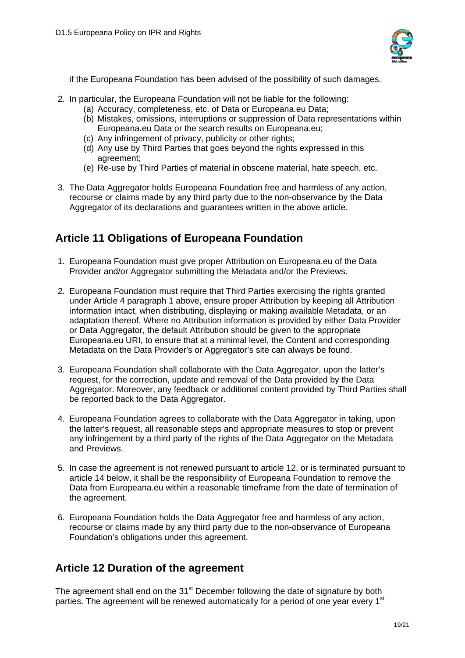

if the Europeana Foundation has been advised of the possibility of such damages.

- 2. In particular, the Europeana Foundation will not be liable for the following:
	- (a) Accuracy, completeness, etc. of Data or Europeana.eu Data;
	- (b) Mistakes, omissions, interruptions or suppression of Data representations within Europeana.eu Data or the search results on Europeana.eu;
	- (c) Any infringement of privacy, publicity or other rights;
	- (d) Any use by Third Parties that goes beyond the rights expressed in this agreement;
	- (e) Re-use by Third Parties of material in obscene material, hate speech, etc.
- 3. The Data Aggregator holds Europeana Foundation free and harmless of any action, recourse or claims made by any third party due to the non-observance by the Data Aggregator of its declarations and guarantees written in the above article.

# **Article 11 Obligations of Europeana Foundation**

- 1. Europeana Foundation must give proper Attribution on Europeana.eu of the Data Provider and/or Aggregator submitting the Metadata and/or the Previews.
- 2. Europeana Foundation must require that Third Parties exercising the rights granted under Article 4 paragraph 1 above, ensure proper Attribution by keeping all Attribution information intact, when distributing, displaying or making available Metadata, or an adaptation thereof. Where no Attribution information is provided by either Data Provider or Data Aggregator, the default Attribution should be given to the appropriate Europeana.eu URI, to ensure that at a minimal level, the Content and corresponding Metadata on the Data Provider's or Aggregator's site can always be found.
- 3. Europeana Foundation shall collaborate with the Data Aggregator, upon the latter's request, for the correction, update and removal of the Data provided by the Data Aggregator. Moreover, any feedback or additional content provided by Third Parties shall be reported back to the Data Aggregator.
- 4. Europeana Foundation agrees to collaborate with the Data Aggregator in taking, upon the latter's request, all reasonable steps and appropriate measures to stop or prevent any infringement by a third party of the rights of the Data Aggregator on the Metadata and Previews.
- 5. In case the agreement is not renewed pursuant to article 12, or is terminated pursuant to article 14 below, it shall be the responsibility of Europeana Foundation to remove the Data from Europeana.eu within a reasonable timeframe from the date of termination of the agreement.
- 6. Europeana Foundation holds the Data Aggregator free and harmless of any action, recourse or claims made by any third party due to the non-observance of Europeana Foundation's obligations under this agreement.

# **Article 12 Duration of the agreement**

The agreement shall end on the 31<sup>st</sup> December following the date of signature by both parties. The agreement will be renewed automatically for a period of one year every 1<sup>st</sup>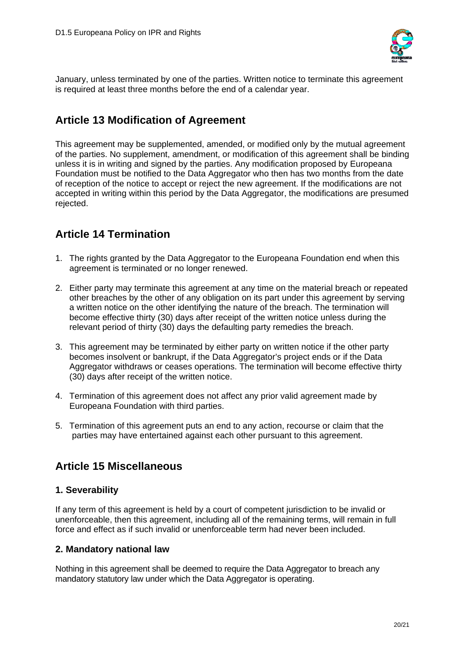

January, unless terminated by one of the parties. Written notice to terminate this agreement is required at least three months before the end of a calendar year.

# **Article 13 Modification of Agreement**

This agreement may be supplemented, amended, or modified only by the mutual agreement of the parties. No supplement, amendment, or modification of this agreement shall be binding unless it is in writing and signed by the parties. Any modification proposed by Europeana Foundation must be notified to the Data Aggregator who then has two months from the date of reception of the notice to accept or reject the new agreement. If the modifications are not accepted in writing within this period by the Data Aggregator, the modifications are presumed rejected.

# **Article 14 Termination**

- 1. The rights granted by the Data Aggregator to the Europeana Foundation end when this agreement is terminated or no longer renewed.
- 2. Either party may terminate this agreement at any time on the material breach or repeated other breaches by the other of any obligation on its part under this agreement by serving a written notice on the other identifying the nature of the breach. The termination will become effective thirty (30) days after receipt of the written notice unless during the relevant period of thirty (30) days the defaulting party remedies the breach.
- 3. This agreement may be terminated by either party on written notice if the other party becomes insolvent or bankrupt, if the Data Aggregator's project ends or if the Data Aggregator withdraws or ceases operations. The termination will become effective thirty (30) days after receipt of the written notice.
- 4. Termination of this agreement does not affect any prior valid agreement made by Europeana Foundation with third parties.
- 5. Termination of this agreement puts an end to any action, recourse or claim that the parties may have entertained against each other pursuant to this agreement.

# **Article 15 Miscellaneous**

### **1. Severability**

If any term of this agreement is held by a court of competent jurisdiction to be invalid or unenforceable, then this agreement, including all of the remaining terms, will remain in full force and effect as if such invalid or unenforceable term had never been included.

### **2. Mandatory national law**

Nothing in this agreement shall be deemed to require the Data Aggregator to breach any mandatory statutory law under which the Data Aggregator is operating.